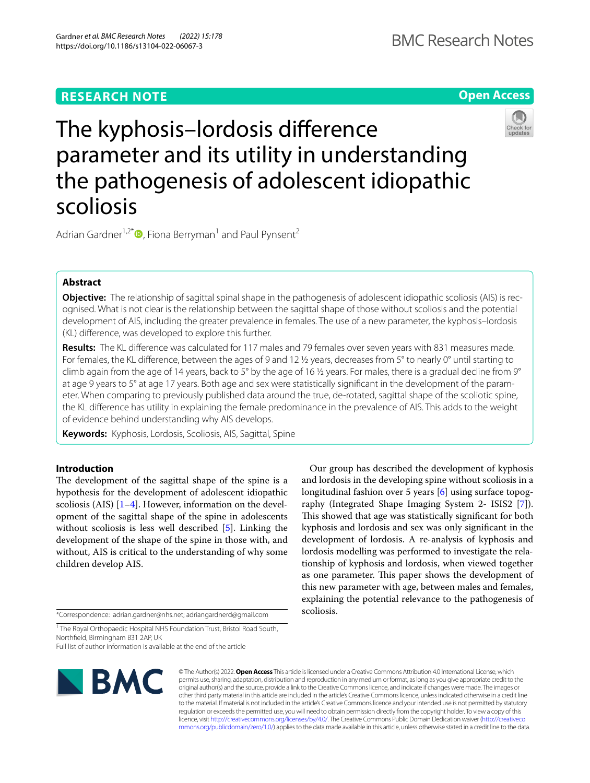**Open Access**

# The kyphosis–lordosis diference parameter and its utility in understanding the pathogenesis of adolescent idiopathic scoliosis

Adrian Gardner<sup>1[,](http://orcid.org/0000-0001-6532-7950)2\*</sup> $\bullet$ , Fiona Berryman<sup>1</sup> and Paul Pynsent<sup>2</sup>

# **Abstract**

**Objective:** The relationship of sagittal spinal shape in the pathogenesis of adolescent idiopathic scoliosis (AIS) is recognised. What is not clear is the relationship between the sagittal shape of those without scoliosis and the potential development of AIS, including the greater prevalence in females. The use of a new parameter, the kyphosis–lordosis (KL) diference, was developed to explore this further.

**Results:** The KL diference was calculated for 117 males and 79 females over seven years with 831 measures made. For females, the KL diference, between the ages of 9 and 12 ½ years, decreases from 5° to nearly 0° until starting to climb again from the age of 14 years, back to 5° by the age of 16  $\frac{1}{2}$  years. For males, there is a gradual decline from 9° at age 9 years to 5° at age 17 years. Both age and sex were statistically signifcant in the development of the parameter. When comparing to previously published data around the true, de-rotated, sagittal shape of the scoliotic spine, the KL diference has utility in explaining the female predominance in the prevalence of AIS. This adds to the weight of evidence behind understanding why AIS develops.

**Keywords:** Kyphosis, Lordosis, Scoliosis, AIS, Sagittal, Spine

# **Introduction**

The development of the sagittal shape of the spine is a hypothesis for the development of adolescent idiopathic scoliosis (AIS)  $[1-4]$  $[1-4]$  $[1-4]$ . However, information on the development of the sagittal shape of the spine in adolescents without scoliosis is less well described [[5\]](#page-4-2). Linking the development of the shape of the spine in those with, and without, AIS is critical to the understanding of why some children develop AIS.

\*Correspondence: adrian.gardner@nhs.net; adriangardnerd@gmail.com

<sup>1</sup> The Royal Orthopaedic Hospital NHS Foundation Trust, Bristol Road South, Northfeld, Birmingham B31 2AP, UK

Full list of author information is available at the end of the article



© The Author(s) 2022. **Open Access** This article is licensed under a Creative Commons Attribution 4.0 International License, which permits use, sharing, adaptation, distribution and reproduction in any medium or format, as long as you give appropriate credit to the original author(s) and the source, provide a link to the Creative Commons licence, and indicate if changes were made. The images or other third party material in this article are included in the article's Creative Commons licence, unless indicated otherwise in a credit line to the material. If material is not included in the article's Creative Commons licence and your intended use is not permitted by statutory regulation or exceeds the permitted use, you will need to obtain permission directly from the copyright holder. To view a copy of this licence, visit [http://creativecommons.org/licenses/by/4.0/.](http://creativecommons.org/licenses/by/4.0/) The Creative Commons Public Domain Dedication waiver ([http://creativeco](http://creativecommons.org/publicdomain/zero/1.0/) [mmons.org/publicdomain/zero/1.0/](http://creativecommons.org/publicdomain/zero/1.0/)) applies to the data made available in this article, unless otherwise stated in a credit line to the data.

scoliosis.

Our group has described the development of kyphosis and lordosis in the developing spine without scoliosis in a longitudinal fashion over 5 years [\[6](#page-4-3)] using surface topography (Integrated Shape Imaging System 2- ISIS2 [\[7\]](#page-4-4)). This showed that age was statistically significant for both kyphosis and lordosis and sex was only signifcant in the development of lordosis. A re-analysis of kyphosis and lordosis modelling was performed to investigate the relationship of kyphosis and lordosis, when viewed together as one parameter. This paper shows the development of this new parameter with age, between males and females, explaining the potential relevance to the pathogenesis of

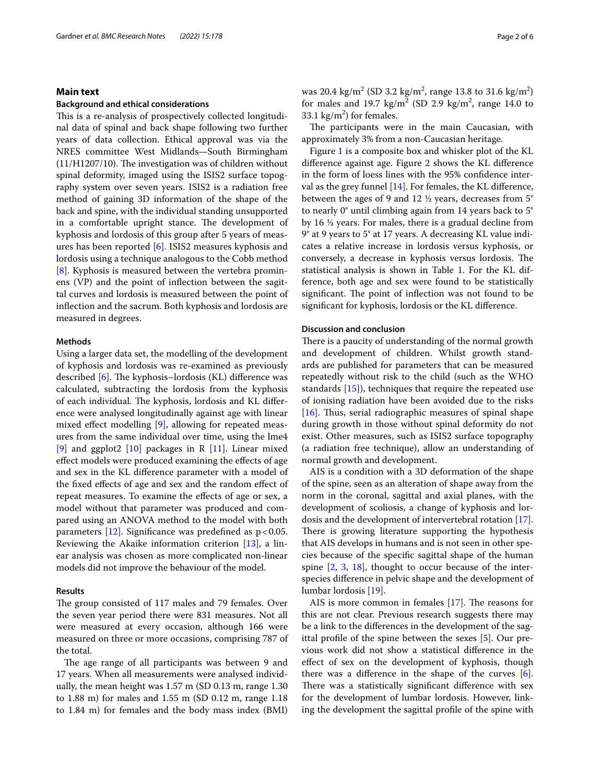# **Main text**

## **Background and ethical considerations**

This is a re-analysis of prospectively collected longitudinal data of spinal and back shape following two further years of data collection. Ethical approval was via the NRES committee West Midlands—South Birmingham  $(11/H1207/10)$ . The investigation was of children without spinal deformity, imaged using the ISIS2 surface topography system over seven years. ISIS2 is a radiation free method of gaining 3D information of the shape of the back and spine, with the individual standing unsupported in a comfortable upright stance. The development of kyphosis and lordosis of this group after 5 years of measures has been reported [[6\]](#page-4-3). ISIS2 measures kyphosis and lordosis using a technique analogous to the Cobb method [[8\]](#page-4-5). Kyphosis is measured between the vertebra prominens (VP) and the point of infection between the sagittal curves and lordosis is measured between the point of infection and the sacrum. Both kyphosis and lordosis are measured in degrees.

# **Methods**

Using a larger data set, the modelling of the development of kyphosis and lordosis was re-examined as previously described  $[6]$  $[6]$ . The kyphosis–lordosis (KL) difference was calculated, subtracting the lordosis from the kyphosis of each individual. The kyphosis, lordosis and KL difference were analysed longitudinally against age with linear mixed efect modelling [\[9](#page-4-6)], allowing for repeated measures from the same individual over time, using the lme4 [[9\]](#page-4-6) and ggplot2  $[10]$  packages in R  $[11]$  $[11]$  $[11]$ . Linear mixed efect models were produced examining the efects of age and sex in the KL diference parameter with a model of the fxed efects of age and sex and the random efect of repeat measures. To examine the efects of age or sex, a model without that parameter was produced and compared using an ANOVA method to the model with both parameters  $[12]$  $[12]$ . Significance was predefined as  $p < 0.05$ . Reviewing the Akaike information criterion [[13](#page-4-10)], a linear analysis was chosen as more complicated non-linear models did not improve the behaviour of the model.

# **Results**

The group consisted of 117 males and 79 females. Over the seven year period there were 831 measures. Not all were measured at every occasion, although 166 were measured on three or more occasions, comprising 787 of the total.

The age range of all participants was between 9 and 17 years. When all measurements were analysed individually, the mean height was 1.57 m (SD 0.13 m, range 1.30 to 1.88 m) for males and 1.55 m (SD 0.12 m, range 1.18 to 1.84 m) for females and the body mass index (BMI)

was 20.4 kg/m<sup>2</sup> (SD 3.2 kg/m<sup>2</sup>, range 13.8 to 31.6 kg/m<sup>2</sup>) for males and 19.7  $\text{kg/m}^2$  (SD 2.9  $\text{kg/m}^2$ , range 14.0 to 33.1  $\text{kg/m}^2$ ) for females.

The participants were in the main Caucasian, with approximately 3% from a non-Caucasian heritage.

Figure [1](#page-2-0) is a composite box and whisker plot of the KL diference against age. Figure [2](#page-3-0) shows the KL diference in the form of loess lines with the 95% confdence interval as the grey funnel  $[14]$  $[14]$  $[14]$ . For females, the KL difference, between the ages of 9 and 12 ½ years, decreases from 5° to nearly 0° until climbing again from 14 years back to 5° by 16 ½ years. For males, there is a gradual decline from 9° at 9 years to 5° at 17 years. A decreasing KL value indicates a relative increase in lordosis versus kyphosis, or conversely, a decrease in kyphosis versus lordosis. The statistical analysis is shown in Table [1](#page-3-1). For the KL difference, both age and sex were found to be statistically significant. The point of inflection was not found to be signifcant for kyphosis, lordosis or the KL diference.

# **Discussion and conclusion**

There is a paucity of understanding of the normal growth and development of children. Whilst growth standards are published for parameters that can be measured repeatedly without risk to the child (such as the WHO standards [\[15](#page-4-12)]), techniques that require the repeated use of ionising radiation have been avoided due to the risks [[16\]](#page-4-13). Thus, serial radiographic measures of spinal shape during growth in those without spinal deformity do not exist. Other measures, such as ISIS2 surface topography (a radiation free technique), allow an understanding of normal growth and development.

AIS is a condition with a 3D deformation of the shape of the spine, seen as an alteration of shape away from the norm in the coronal, sagittal and axial planes, with the development of scoliosis, a change of kyphosis and lordosis and the development of intervertebral rotation [\[17](#page-4-14)]. There is growing literature supporting the hypothesis that AIS develops in humans and is not seen in other species because of the specifc sagittal shape of the human spine [\[2](#page-4-15), [3](#page-4-16), [18](#page-4-17)], thought to occur because of the interspecies diference in pelvic shape and the development of lumbar lordosis [\[19](#page-4-18)].

AIS is more common in females  $[17]$  $[17]$ . The reasons for this are not clear. Previous research suggests there may be a link to the diferences in the development of the sagittal profle of the spine between the sexes [[5\]](#page-4-2). Our previous work did not show a statistical diference in the efect of sex on the development of kyphosis, though there was a diference in the shape of the curves [\[6](#page-4-3)]. There was a statistically significant difference with sex for the development of lumbar lordosis. However, linking the development the sagittal profle of the spine with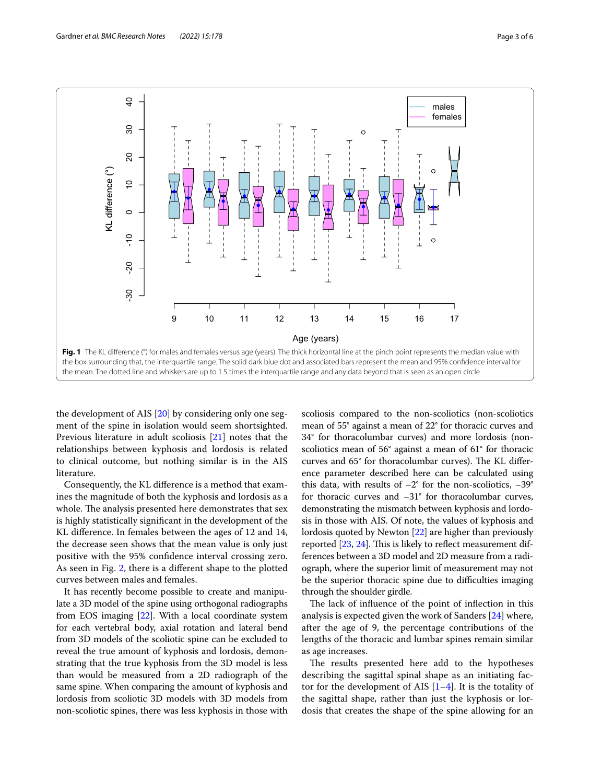

<span id="page-2-0"></span>the development of AIS [[20\]](#page-4-19) by considering only one segment of the spine in isolation would seem shortsighted. Previous literature in adult scoliosis [[21\]](#page-4-20) notes that the relationships between kyphosis and lordosis is related to clinical outcome, but nothing similar is in the AIS literature.

Consequently, the KL diference is a method that examines the magnitude of both the kyphosis and lordosis as a whole. The analysis presented here demonstrates that sex is highly statistically signifcant in the development of the KL diference. In females between the ages of 12 and 14, the decrease seen shows that the mean value is only just positive with the 95% confdence interval crossing zero. As seen in Fig. [2,](#page-3-0) there is a diferent shape to the plotted curves between males and females.

It has recently become possible to create and manipulate a 3D model of the spine using orthogonal radiographs from EOS imaging [[22](#page-4-21)]. With a local coordinate system for each vertebral body, axial rotation and lateral bend from 3D models of the scoliotic spine can be excluded to reveal the true amount of kyphosis and lordosis, demonstrating that the true kyphosis from the 3D model is less than would be measured from a 2D radiograph of the same spine. When comparing the amount of kyphosis and lordosis from scoliotic 3D models with 3D models from non-scoliotic spines, there was less kyphosis in those with

scoliosis compared to the non-scoliotics (non-scoliotics mean of 55° against a mean of 22° for thoracic curves and 34° for thoracolumbar curves) and more lordosis (nonscoliotics mean of 56° against a mean of 61° for thoracic curves and 65° for thoracolumbar curves). The KL difference parameter described here can be calculated using this data, with results of  $-2^{\circ}$  for the non-scoliotics,  $-39^{\circ}$ for thoracic curves and  $-31^\circ$  for thoracolumbar curves, demonstrating the mismatch between kyphosis and lordosis in those with AIS. Of note, the values of kyphosis and lordosis quoted by Newton [[22](#page-4-21)] are higher than previously reported  $[23, 24]$  $[23, 24]$  $[23, 24]$ . This is likely to reflect measurement differences between a 3D model and 2D measure from a radiograph, where the superior limit of measurement may not be the superior thoracic spine due to difficulties imaging through the shoulder girdle.

The lack of influence of the point of inflection in this analysis is expected given the work of Sanders [\[24](#page-4-23)] where, after the age of 9, the percentage contributions of the lengths of the thoracic and lumbar spines remain similar as age increases.

The results presented here add to the hypotheses describing the sagittal spinal shape as an initiating factor for the development of AIS  $[1-4]$  $[1-4]$ . It is the totality of the sagittal shape, rather than just the kyphosis or lordosis that creates the shape of the spine allowing for an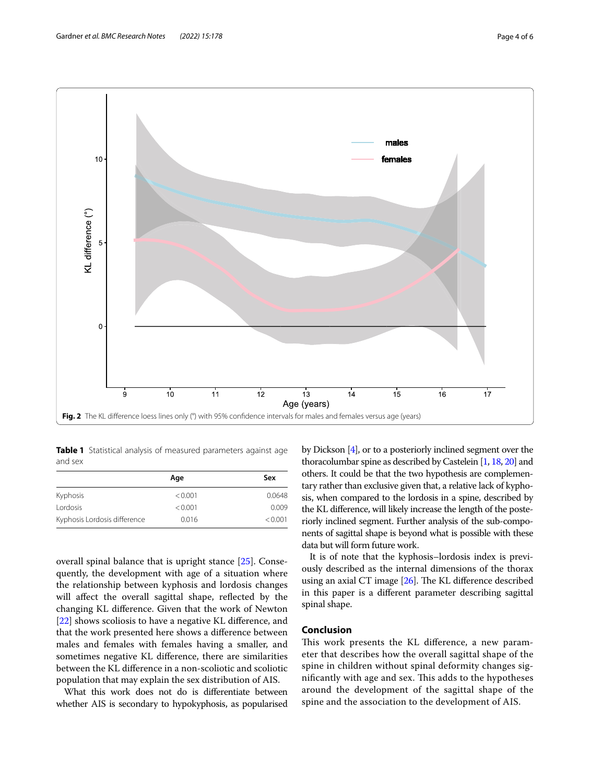

<span id="page-3-1"></span><span id="page-3-0"></span>**Table 1** Statistical analysis of measured parameters against age and sex

|                              | Age     | Sex     |
|------------------------------|---------|---------|
| Kyphosis                     | < 0.001 | 0.0648  |
| Lordosis                     | < 0.001 | 0.009   |
| Kyphosis Lordosis difference | 0.016   | < 0.001 |

overall spinal balance that is upright stance [[25\]](#page-4-24). Consequently, the development with age of a situation where the relationship between kyphosis and lordosis changes will affect the overall sagittal shape, reflected by the changing KL diference. Given that the work of Newton [[22\]](#page-4-21) shows scoliosis to have a negative KL diference, and that the work presented here shows a diference between males and females with females having a smaller, and sometimes negative KL diference, there are similarities between the KL diference in a non-scoliotic and scoliotic population that may explain the sex distribution of AIS.

What this work does not do is diferentiate between whether AIS is secondary to hypokyphosis, as popularised by Dickson [\[4](#page-4-1)], or to a posteriorly inclined segment over the thoracolumbar spine as described by Castelein [\[1](#page-4-0), [18,](#page-4-17) [20\]](#page-4-19) and others. It could be that the two hypothesis are complementary rather than exclusive given that, a relative lack of kyphosis, when compared to the lordosis in a spine, described by the KL diference, will likely increase the length of the posteriorly inclined segment. Further analysis of the sub-components of sagittal shape is beyond what is possible with these data but will form future work.

It is of note that the kyphosis–lordosis index is previously described as the internal dimensions of the thorax using an axial CT image  $[26]$  $[26]$  $[26]$ . The KL difference described in this paper is a diferent parameter describing sagittal spinal shape.

# **Conclusion**

This work presents the KL difference, a new parameter that describes how the overall sagittal shape of the spine in children without spinal deformity changes significantly with age and sex. This adds to the hypotheses around the development of the sagittal shape of the spine and the association to the development of AIS.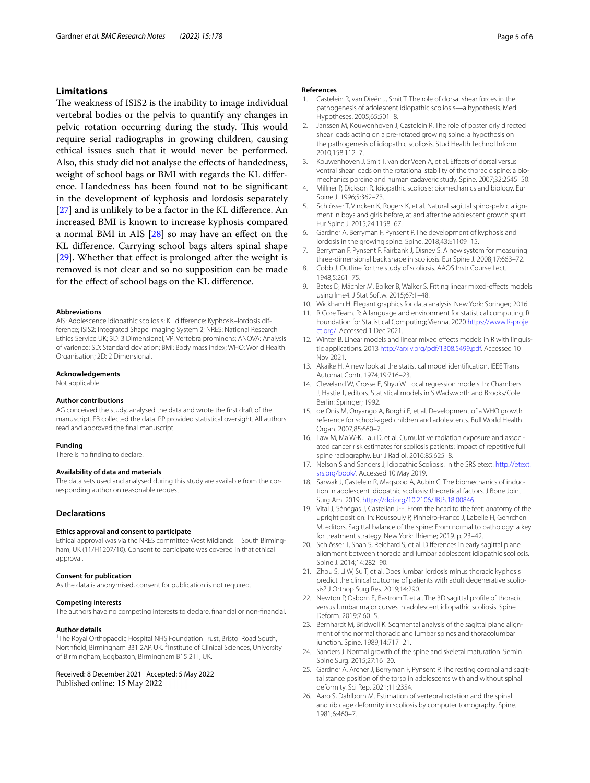# **Limitations**

The weakness of ISIS2 is the inability to image individual vertebral bodies or the pelvis to quantify any changes in pelvic rotation occurring during the study. This would require serial radiographs in growing children, causing ethical issues such that it would never be performed. Also, this study did not analyse the efects of handedness, weight of school bags or BMI with regards the KL diference. Handedness has been found not to be signifcant in the development of kyphosis and lordosis separately [[27\]](#page-5-0) and is unlikely to be a factor in the KL difference. An increased BMI is known to increase kyphosis compared a normal BMI in AIS [[28\]](#page-5-1) so may have an efect on the KL diference. Carrying school bags alters spinal shape [[29\]](#page-5-2). Whether that effect is prolonged after the weight is removed is not clear and so no supposition can be made for the efect of school bags on the KL diference.

#### **Abbreviations**

AIS: Adolescence idiopathic scoliosis; KL diference: Kyphosis–lordosis difference; ISIS2: Integrated Shape Imaging System 2; NRES: National Research Ethics Service UK; 3D: 3 Dimensional; VP: Vertebra prominens; ANOVA: Analysis of varience; SD: Standard deviation; BMI: Body mass index; WHO: World Health Organisation; 2D: 2 Dimensional.

#### **Acknowledgements**

Not applicable.

#### **Author contributions**

AG conceived the study, analysed the data and wrote the frst draft of the manuscript. FB collected the data. PP provided statistical oversight. All authors read and approved the fnal manuscript.

#### **Funding**

There is no fnding to declare.

## **Availability of data and materials**

The data sets used and analysed during this study are available from the corresponding author on reasonable request.

## **Declarations**

#### **Ethics approval and consent to participate**

Ethical approval was via the NRES committee West Midlands—South Birmingham, UK (11/H1207/10). Consent to participate was covered in that ethical approval.

#### **Consent for publication**

As the data is anonymised, consent for publication is not required.

## **Competing interests**

The authors have no competing interests to declare, fnancial or non-fnancial.

## **Author details**

<sup>1</sup>The Royal Orthopaedic Hospital NHS Foundation Trust, Bristol Road South, Northfield, Birmingham B31 2AP, UK. <sup>2</sup>Institute of Clinical Sciences, University of Birmingham, Edgbaston, Birmingham B15 2TT, UK.

Received: 8 December 2021 Accepted: 5 May 2022 Published online: 15 May 2022

#### **References**

- <span id="page-4-0"></span>1. Castelein R, van Dieën J, Smit T. The role of dorsal shear forces in the pathogenesis of adolescent idiopathic scoliosis—a hypothesis. Med Hypotheses. 2005;65:501–8.
- <span id="page-4-15"></span>2. Janssen M, Kouwenhoven J, Castelein R. The role of posteriorly directed shear loads acting on a pre-rotated growing spine: a hypothesis on the pathogenesis of idiopathic scoliosis. Stud Health Technol Inform. 2010;158:112–7.
- <span id="page-4-16"></span>3. Kouwenhoven J, Smit T, van der Veen A, et al. Efects of dorsal versus ventral shear loads on the rotational stability of the thoracic spine: a biomechanics porcine and human cadaveric study. Spine. 2007;32:2545–50.
- <span id="page-4-1"></span>4. Millner P, Dickson R. Idiopathic scoliosis: biomechanics and biology. Eur Spine J. 1996;5:362–73.
- <span id="page-4-2"></span>5. Schlösser T, Vincken K, Rogers K, et al. Natural sagittal spino-pelvic alignment in boys and girls before, at and after the adolescent growth spurt. Eur Spine J. 2015;24:1158–67.
- <span id="page-4-3"></span>6. Gardner A, Berryman F, Pynsent P. The development of kyphosis and lordosis in the growing spine. Spine. 2018;43:E1109–15.
- <span id="page-4-4"></span>7. Berryman F, Pynsent P, Fairbank J, Disney S. A new system for measuring three-dimensional back shape in scoliosis. Eur Spine J. 2008;17:663–72.
- <span id="page-4-5"></span>8. Cobb J. Outline for the study of scoliosis. AAOS Instr Course Lect. 1948;5:261–75.
- <span id="page-4-6"></span>9. Bates D, Mächler M, Bolker B, Walker S. Fitting linear mixed-efects models using lme4. J Stat Softw. 2015;67:1–48.
- <span id="page-4-7"></span>10. Wickham H. Elegant graphics for data analysis. New York: Springer; 2016.
- <span id="page-4-8"></span>11. R Core Team. R: A language and environment for statistical computing. R Foundation for Statistical Computing; Vienna. 2020 [https://www.R-proje](https://www.R-project.org/) [ct.org/.](https://www.R-project.org/) Accessed 1 Dec 2021.
- <span id="page-4-9"></span>12. Winter B. Linear models and linear mixed effects models in R with linguistic applications. 2013 [http://arxiv.org/pdf/1308.5499.pdf.](http://arxiv.org/pdf/1308.5499.pdf) Accessed 10 Nov 2021.
- <span id="page-4-10"></span>13. Akaike H. A new look at the statistical model identifcation. IEEE Trans Automat Contr. 1974;19:716–23.
- <span id="page-4-11"></span>14. Cleveland W, Grosse E, Shyu W. Local regression models. In: Chambers J, Hastie T, editors. Statistical models in S Wadsworth and Brooks/Cole. Berlin: Springer; 1992.
- <span id="page-4-12"></span>15. de Onis M, Onyango A, Borghi E, et al. Development of a WHO growth reference for school-aged children and adolescents. Bull World Health Organ. 2007;85:660–7.
- <span id="page-4-13"></span>16. Law M, Ma W-K, Lau D, et al. Cumulative radiation exposure and associated cancer risk estimates for scoliosis patients: impact of repetitive full spine radiography. Eur J Radiol. 2016;85:625–8.
- <span id="page-4-14"></span>17. Nelson S and Sanders J, Idiopathic Scoliosis. In the SRS etext. [http://etext.](http://etext.srs.org/book/) [srs.org/book/.](http://etext.srs.org/book/) Accessed 10 May 2019.
- <span id="page-4-17"></span>18. Sarwak J, Castelein R, Magsood A, Aubin C. The biomechanics of induction in adolescent idiopathic scoliosis: theoretical factors. J Bone Joint Surg Am. 2019. [https://doi.org/10.2106/JBJS.18.00846.](https://doi.org/10.2106/JBJS.18.00846)
- <span id="page-4-18"></span>19. Vital J, Sénégas J, Castelian J-E. From the head to the feet: anatomy of the upright position. In: Roussouly P, Pinheiro-Franco J, Labelle H, Gehrchen M, editors. Sagittal balance of the spine: From normal to pathology: a key for treatment strategy. New York: Thieme; 2019. p. 23–42.
- <span id="page-4-19"></span>20. Schlösser T, Shah S, Reichard S, et al. Diferences in early sagittal plane alignment between thoracic and lumbar adolescent idiopathic scoliosis. Spine J. 2014;14:282–90.
- <span id="page-4-20"></span>21. Zhou S, Li W, Su T, et al. Does lumbar lordosis minus thoracic kyphosis predict the clinical outcome of patients with adult degenerative scoliosis? J Orthop Surg Res. 2019;14:290.
- <span id="page-4-21"></span>22. Newton P, Osborn E, Bastrom T, et al. The 3D sagittal profle of thoracic versus lumbar major curves in adolescent idiopathic scoliosis. Spine Deform. 2019;7:60–5.
- <span id="page-4-22"></span>23. Bernhardt M, Bridwell K. Segmental analysis of the sagittal plane alignment of the normal thoracic and lumbar spines and thoracolumbar junction. Spine. 1989;14:717–21.
- <span id="page-4-23"></span>24. Sanders J. Normal growth of the spine and skeletal maturation. Semin Spine Surg. 2015;27:16–20.
- <span id="page-4-24"></span>25. Gardner A, Archer J, Berryman F, Pynsent P. The resting coronal and sagittal stance position of the torso in adolescents with and without spinal deformity. Sci Rep. 2021;11:2354.
- <span id="page-4-25"></span>26. Aaro S, Dahlborn M. Estimation of vertebral rotation and the spinal and rib cage deformity in scoliosis by computer tomography. Spine. 1981;6:460–7.